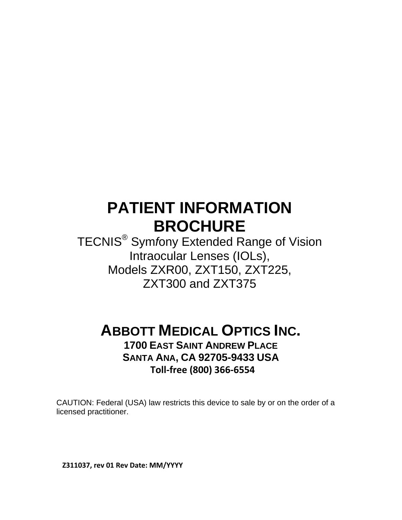# **PATIENT INFORMATION BROCHURE**

TECNIS® Sym*f*ony Extended Range of Vision Intraocular Lenses (IOLs), Models ZXR00, ZXT150, ZXT225, ZXT300 and ZXT375

**ABBOTT MEDICAL OPTICS INC. 1700 EAST SAINT ANDREW PLACE**

**SANTA ANA, CA 92705-9433 USA Toll‐free (800) 366‐6554**

CAUTION: Federal (USA) law restricts this device to sale by or on the order of a licensed practitioner.

**Z311037, rev 01 Rev Date: MM/YYYY**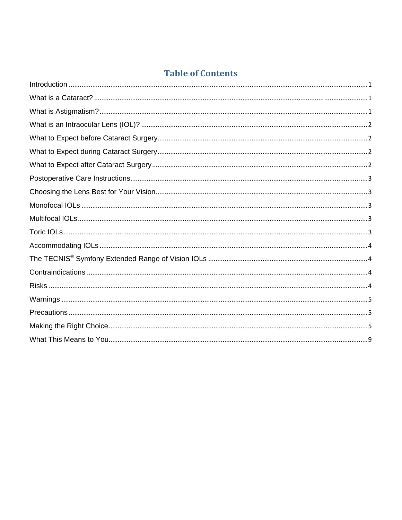# **Table of Contents**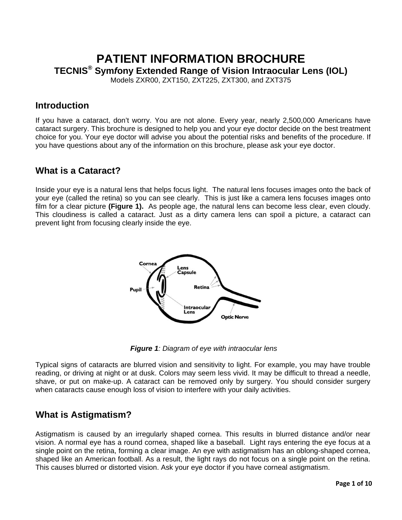# **PATIENT INFORMATION BROCHURE TECNIS® Sym***f***ony Extended Range of Vision Intraocular Lens (IOL)**

Models ZXR00, ZXT150, ZXT225, ZXT300, and ZXT375

#### **Introduction**

If you have a cataract, don't worry. You are not alone. Every year, nearly 2,500,000 Americans have cataract surgery. This brochure is designed to help you and your eye doctor decide on the best treatment choice for you. Your eye doctor will advise you about the potential risks and benefits of the procedure. If you have questions about any of the information on this brochure, please ask your eye doctor.

#### **What is a Cataract?**

Inside your eye is a natural lens that helps focus light. The natural lens focuses images onto the back of your eye (called the retina) so you can see clearly. This is just like a camera lens focuses images onto film for a clear picture **(Figure 1).** As people age, the natural lens can become less clear, even cloudy. This cloudiness is called a cataract. Just as a dirty camera lens can spoil a picture, a cataract can prevent light from focusing clearly inside the eye.



*Figure 1: Diagram of eye with intraocular lens* 

Typical signs of cataracts are blurred vision and sensitivity to light. For example, you may have trouble reading, or driving at night or at dusk. Colors may seem less vivid. It may be difficult to thread a needle, shave, or put on make-up. A cataract can be removed only by surgery. You should consider surgery when cataracts cause enough loss of vision to interfere with your daily activities.

# **What is Astigmatism?**

Astigmatism is caused by an irregularly shaped cornea. This results in blurred distance and/or near vision. A normal eye has a round cornea, shaped like a baseball. Light rays entering the eye focus at a single point on the retina, forming a clear image. An eye with astigmatism has an oblong-shaped cornea, shaped like an American football. As a result, the light rays do not focus on a single point on the retina. This causes blurred or distorted vision. Ask your eye doctor if you have corneal astigmatism.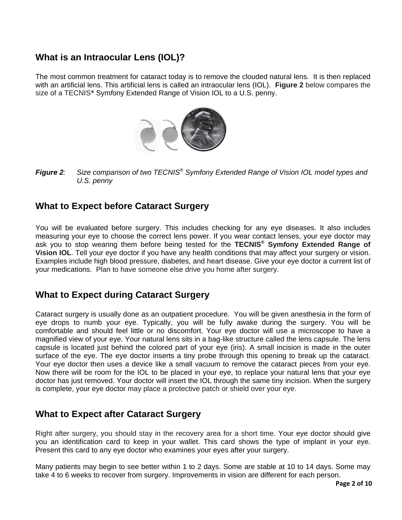# **What is an Intraocular Lens (IOL)?**

The most common treatment for cataract today is to remove the clouded natural lens. It is then replaced with an artificial lens. This artificial lens is called an intraocular lens (IOL). **Figure 2** below compares the size of a TECNIS® Sym*f*ony Extended Range of Vision IOL to a U.S. penny.



*Figure 2: Size comparison of two TECNIS® Symfony Extended Range of Vision IOL model types and U.S. penny* 

#### **What to Expect before Cataract Surgery**

You will be evaluated before surgery. This includes checking for any eye diseases. It also includes measuring your eye to choose the correct lens power. If you wear contact lenses, your eye doctor may ask you to stop wearing them before being tested for the **TECNIS® Sym***f***ony Extended Range of Vision IOL**. Tell your eye doctor if you have any health conditions that may affect your surgery or vision. Examples include high blood pressure, diabetes, and heart disease. Give your eye doctor a current list of your medications. Plan to have someone else drive you home after surgery.

#### **What to Expect during Cataract Surgery**

Cataract surgery is usually done as an outpatient procedure. You will be given anesthesia in the form of eye drops to numb your eye. Typically, you will be fully awake during the surgery. You will be comfortable and should feel little or no discomfort. Your eye doctor will use a microscope to have a magnified view of your eye. Your natural lens sits in a bag-like structure called the lens capsule. The lens capsule is located just behind the colored part of your eye (iris). A small incision is made in the outer surface of the eye. The eye doctor inserts a tiny probe through this opening to break up the cataract. Your eye doctor then uses a device like a small vacuum to remove the cataract pieces from your eye. Now there will be room for the IOL to be placed in your eye, to replace your natural lens that your eye doctor has just removed. Your doctor will insert the IOL through the same tiny incision. When the surgery is complete, your eye doctor may place a protective patch or shield over your eye.

#### **What to Expect after Cataract Surgery**

Right after surgery, you should stay in the recovery area for a short time. Your eye doctor should give you an identification card to keep in your wallet. This card shows the type of implant in your eye. Present this card to any eye doctor who examines your eyes after your surgery.

Many patients may begin to see better within 1 to 2 days. Some are stable at 10 to 14 days. Some may take 4 to 6 weeks to recover from surgery. Improvements in vision are different for each person.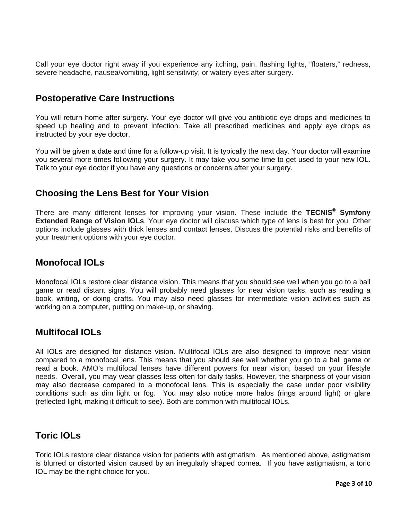Call your eye doctor right away if you experience any itching, pain, flashing lights, "floaters," redness, severe headache, nausea/vomiting, light sensitivity, or watery eyes after surgery.

#### **Postoperative Care Instructions**

You will return home after surgery. Your eye doctor will give you antibiotic eye drops and medicines to speed up healing and to prevent infection. Take all prescribed medicines and apply eye drops as instructed by your eye doctor.

You will be given a date and time for a follow-up visit. It is typically the next day. Your doctor will examine you several more times following your surgery. It may take you some time to get used to your new IOL. Talk to your eye doctor if you have any questions or concerns after your surgery.

#### **Choosing the Lens Best for Your Vision**

There are many different lenses for improving your vision. These include the **TECNIS® Sym***f***ony Extended Range of Vision IOLs**. Your eye doctor will discuss which type of lens is best for you. Other options include glasses with thick lenses and contact lenses. Discuss the potential risks and benefits of your treatment options with your eye doctor.

#### **Monofocal IOLs**

Monofocal IOLs restore clear distance vision. This means that you should see well when you go to a ball game or read distant signs. You will probably need glasses for near vision tasks, such as reading a book, writing, or doing crafts. You may also need glasses for intermediate vision activities such as working on a computer, putting on make-up, or shaving.

#### **Multifocal IOLs**

All IOLs are designed for distance vision. Multifocal IOLs are also designed to improve near vision compared to a monofocal lens. This means that you should see well whether you go to a ball game or read a book. AMO's multifocal lenses have different powers for near vision, based on your lifestyle needs. Overall, you may wear glasses less often for daily tasks. However, the sharpness of your vision may also decrease compared to a monofocal lens. This is especially the case under poor visibility conditions such as dim light or fog. You may also notice more halos (rings around light) or glare (reflected light, making it difficult to see). Both are common with multifocal IOLs.

#### **Toric IOLs**

Toric IOLs restore clear distance vision for patients with astigmatism. As mentioned above, astigmatism is blurred or distorted vision caused by an irregularly shaped cornea. If you have astigmatism, a toric IOL may be the right choice for you.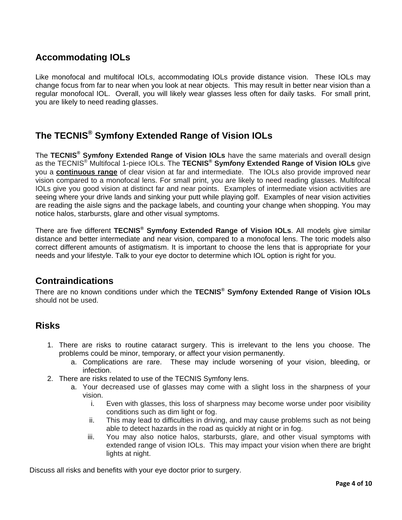# **Accommodating IOLs**

Like monofocal and multifocal IOLs, accommodating IOLs provide distance vision. These IOLs may change focus from far to near when you look at near objects. This may result in better near vision than a regular monofocal IOL. Overall, you will likely wear glasses less often for daily tasks. For small print, you are likely to need reading glasses.

### **The TECNIS® Symfony Extended Range of Vision IOLs**

The **TECNIS® Sym***f***ony Extended Range of Vision IOLs** have the same materials and overall design as the TECNIS® Multifocal 1-piece IOLs. The **TECNIS® Sym***f***ony Extended Range of Vision IOLs** give you a **continuous range** of clear vision at far and intermediate. The IOLs also provide improved near vision compared to a monofocal lens. For small print, you are likely to need reading glasses. Multifocal IOLs give you good vision at distinct far and near points. Examples of intermediate vision activities are seeing where your drive lands and sinking your putt while playing golf. Examples of near vision activities are reading the aisle signs and the package labels, and counting your change when shopping. You may notice halos, starbursts, glare and other visual symptoms.

There are five different **TECNIS® Sym***f***ony Extended Range of Vision IOLs**. All models give similar distance and better intermediate and near vision, compared to a monofocal lens. The toric models also correct different amounts of astigmatism. It is important to choose the lens that is appropriate for your needs and your lifestyle. Talk to your eye doctor to determine which IOL option is right for you.

#### **Contraindications**

There are no known conditions under which the **TECNIS® Sym***f***ony Extended Range of Vision IOLs**  should not be used.

#### **Risks**

- 1. There are risks to routine cataract surgery. This is irrelevant to the lens you choose. The problems could be minor, temporary, or affect your vision permanently.
	- a. Complications are rare. These may include worsening of your vision, bleeding, or infection.
- 2. There are risks related to use of the TECNIS Symfony lens.
	- a. Your decreased use of glasses may come with a slight loss in the sharpness of your vision.
		- i. Even with glasses, this loss of sharpness may become worse under poor visibility conditions such as dim light or fog.
		- ii. This may lead to difficulties in driving, and may cause problems such as not being able to detect hazards in the road as quickly at night or in fog.
		- iii. You may also notice halos, starbursts, glare, and other visual symptoms with extended range of vision IOLs. This may impact your vision when there are bright lights at night.

Discuss all risks and benefits with your eye doctor prior to surgery.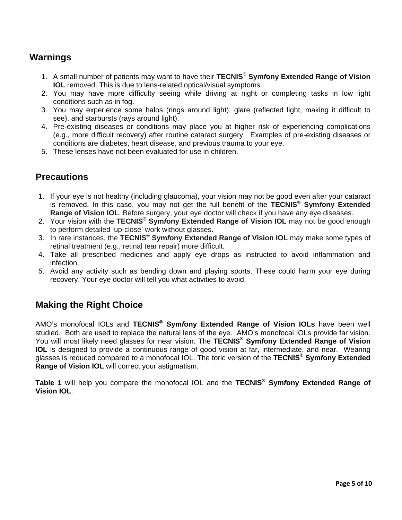# **Warnings**

- 1. A small number of patients may want to have their **TECNIS® Sym***f***ony Extended Range of Vision IOL** removed. This is due to lens-related optical/visual symptoms.
- 2. You may have more difficulty seeing while driving at night or completing tasks in low light conditions such as in fog.
- 3. You may experience some halos (rings around light), glare (reflected light, making it difficult to see), and starbursts (rays around light).
- 4. Pre-existing diseases or conditions may place you at higher risk of experiencing complications (e.g., more difficult recovery) after routine cataract surgery. Examples of pre-existing diseases or conditions are diabetes, heart disease, and previous trauma to your eye.
- 5. These lenses have not been evaluated for use in children.

#### **Precautions**

- 1. If your eye is not healthy (including glaucoma), your vision may not be good even after your cataract is removed. In this case, you may not get the full benefit of the **TECNIS® Sym***f***ony Extended Range of Vision IOL**. Before surgery, your eye doctor will check if you have any eye diseases.
- 2. Your vision with the **TECNIS® Sym***f***ony Extended Range of Vision IOL** may not be good enough to perform detailed 'up-close' work without glasses.
- 3. In rare instances, the **TECNIS® Sym***f***ony Extended Range of Vision IOL** may make some types of retinal treatment (e.g., retinal tear repair) more difficult.
- 4. Take all prescribed medicines and apply eye drops as instructed to avoid inflammation and infection.
- 5. Avoid any activity such as bending down and playing sports. These could harm your eye during recovery. Your eye doctor will tell you what activities to avoid.

#### **Making the Right Choice**

AMO's monofocal IOLs and **TECNIS® Sym***f***ony Extended Range of Vision IOLs** have been well studied. Both are used to replace the natural lens of the eye. AMO's monofocal IOLs provide far vision. You will most likely need glasses for near vision. The **TECNIS® Sym***f***ony Extended Range of Vision IOL** is designed to provide a continuous range of good vision at far, intermediate, and near. Wearing glasses is reduced compared to a monofocal IOL. The toric version of the **TECNIS® Sym***f***ony Extended Range of Vision IOL** will correct your astigmatism.

**Table 1** will help you compare the monofocal IOL and the **TECNIS® Sym***f***ony Extended Range of Vision IOL**.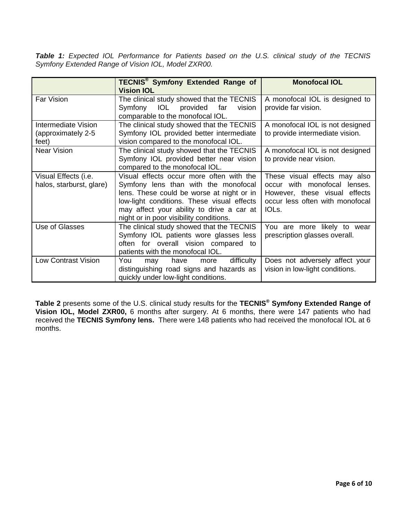*Table 1: Expected IOL Performance for Patients based on the U.S. clinical study of the TECNIS Symfony Extended Range of Vision IOL, Model ZXR00.* 

|                                                    | <b>TECNIS<sup>®</sup> Symfony Extended Range of</b><br><b>Vision IOL</b>                                                                                                                                                                                            | <b>Monofocal IOL</b>                                                                                                                                   |
|----------------------------------------------------|---------------------------------------------------------------------------------------------------------------------------------------------------------------------------------------------------------------------------------------------------------------------|--------------------------------------------------------------------------------------------------------------------------------------------------------|
| Far Vision                                         | The clinical study showed that the TECNIS<br>Symfony IOL provided far<br>vision<br>comparable to the monofocal IOL.                                                                                                                                                 | A monofocal IOL is designed to<br>provide far vision.                                                                                                  |
| Intermediate Vision<br>(approximately 2-5<br>feet) | The clinical study showed that the TECNIS<br>Symfony IOL provided better intermediate<br>vision compared to the monofocal IOL.                                                                                                                                      | A monofocal IOL is not designed<br>to provide intermediate vision.                                                                                     |
| <b>Near Vision</b>                                 | The clinical study showed that the TECNIS<br>Symfony IOL provided better near vision<br>compared to the monofocal IOL.                                                                                                                                              | A monofocal IOL is not designed<br>to provide near vision.                                                                                             |
| Visual Effects (i.e.<br>halos, starburst, glare)   | Visual effects occur more often with the<br>Symfony lens than with the monofocal<br>lens. These could be worse at night or in<br>low-light conditions. These visual effects<br>may affect your ability to drive a car at<br>night or in poor visibility conditions. | These visual effects may also<br>occur with monofocal lenses.<br>However, these visual effects<br>occur less often with monofocal<br>IOL <sub>s.</sub> |
| Use of Glasses                                     | The clinical study showed that the TECNIS<br>Symfony IOL patients wore glasses less<br>often for overall vision compared to<br>patients with the monofocal IOL.                                                                                                     | You are more likely to wear<br>prescription glasses overall.                                                                                           |
| <b>Low Contrast Vision</b>                         | You<br>difficulty<br>have<br>may<br>more<br>distinguishing road signs and hazards as<br>quickly under low-light conditions.                                                                                                                                         | Does not adversely affect your<br>vision in low-light conditions.                                                                                      |

**Table 2** presents some of the U.S. clinical study results for the **TECNIS® Sym***f***ony Extended Range of Vision IOL, Model ZXR00,** 6 months after surgery. At 6 months, there were 147 patients who had received the **TECNIS Sym***f***ony lens.** There were 148 patients who had received the monofocal IOL at 6 months.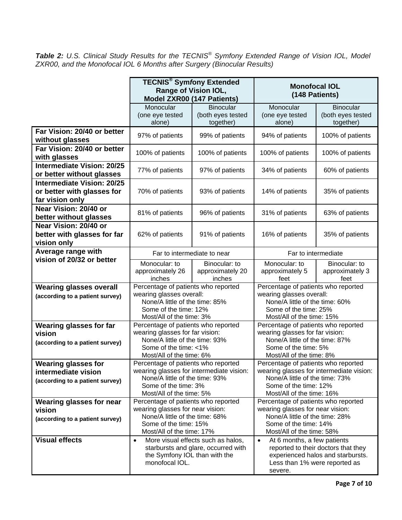*Table 2: U.S. Clinical Study Results for the TECNIS® Symfony Extended Range of Vision IOL, Model ZXR00, and the Monofocal IOL 6 Months after Surgery (Binocular Results)* 

|                                                                                      | <b>TECNIS®</b> Symfony Extended<br>Range of Vision IOL,<br><b>Model ZXR00 (147 Patients)</b>                                                                                                      |                                                    | <b>Monofocal IOL</b><br>(148 Patients)                                                                                                                                                              |                                                    |
|--------------------------------------------------------------------------------------|---------------------------------------------------------------------------------------------------------------------------------------------------------------------------------------------------|----------------------------------------------------|-----------------------------------------------------------------------------------------------------------------------------------------------------------------------------------------------------|----------------------------------------------------|
|                                                                                      | Monocular<br>(one eye tested<br>alone)                                                                                                                                                            | <b>Binocular</b><br>(both eyes tested<br>together) | Monocular<br>(one eye tested<br>alone)                                                                                                                                                              | <b>Binocular</b><br>(both eyes tested<br>together) |
| Far Vision: 20/40 or better<br>without glasses                                       | 97% of patients                                                                                                                                                                                   | 99% of patients                                    | 94% of patients                                                                                                                                                                                     | 100% of patients                                   |
| Far Vision: 20/40 or better<br>with glasses                                          | 100% of patients                                                                                                                                                                                  | 100% of patients                                   | 100% of patients                                                                                                                                                                                    | 100% of patients                                   |
| <b>Intermediate Vision: 20/25</b><br>or better without glasses                       | 77% of patients                                                                                                                                                                                   | 97% of patients                                    | 34% of patients                                                                                                                                                                                     | 60% of patients                                    |
| <b>Intermediate Vision: 20/25</b><br>or better with glasses for<br>far vision only   | 70% of patients                                                                                                                                                                                   | 93% of patients                                    | 14% of patients                                                                                                                                                                                     | 35% of patients                                    |
| Near Vision: 20/40 or<br>better without glasses                                      | 81% of patients                                                                                                                                                                                   | 96% of patients                                    | 31% of patients                                                                                                                                                                                     | 63% of patients                                    |
| Near Vision: 20/40 or<br>better with glasses for far<br>vision only                  | 62% of patients                                                                                                                                                                                   | 91% of patients                                    | 16% of patients                                                                                                                                                                                     | 35% of patients                                    |
| Average range with                                                                   | Far to intermediate to near                                                                                                                                                                       |                                                    | Far to intermediate                                                                                                                                                                                 |                                                    |
| vision of 20/32 or better                                                            | Monocular: to<br>approximately 26<br>inches                                                                                                                                                       | Binocular: to<br>approximately 20<br>inches        | Monocular: to<br>approximately 5<br>feet                                                                                                                                                            | Binocular: to<br>approximately 3<br>feet           |
| <b>Wearing glasses overall</b><br>(according to a patient survey)                    | Percentage of patients who reported<br>wearing glasses overall:<br>None/A little of the time: 85%<br>Some of the time: 12%<br>Most/All of the time: 3%                                            |                                                    | Percentage of patients who reported<br>wearing glasses overall:<br>None/A little of the time: 60%<br>Some of the time: 25%<br>Most/All of the time: 15%                                             |                                                    |
| <b>Wearing glasses for far</b><br>vision<br>(according to a patient survey)          | Percentage of patients who reported<br>wearing glasses for far vision:<br>None/A little of the time: 93%<br>Some of the time: <1%                                                                 |                                                    | Percentage of patients who reported<br>wearing glasses for far vision:<br>None/A little of the time: 87%<br>Some of the time: 5%                                                                    |                                                    |
| <b>Wearing glasses for</b><br>intermediate vision<br>(according to a patient survey) | Most/All of the time: 6%<br>Percentage of patients who reported<br>wearing glasses for intermediate vision:<br>None/A little of the time: 93%<br>Some of the time: 3%<br>Most/All of the time: 5% |                                                    | Most/All of the time: 8%<br>Percentage of patients who reported<br>wearing glasses for intermediate vision:<br>None/A little of the time: 73%<br>Some of the time: 12%<br>Most/All of the time: 16% |                                                    |
| <b>Wearing glasses for near</b><br>vision<br>(according to a patient survey)         | Percentage of patients who reported<br>wearing glasses for near vision:<br>None/A little of the time: 68%<br>Some of the time: 15%<br>Most/All of the time: 17%                                   |                                                    | Percentage of patients who reported<br>wearing glasses for near vision:<br>None/A little of the time: 28%<br>Some of the time: 14%<br>Most/All of the time: 58%                                     |                                                    |
| <b>Visual effects</b>                                                                | More visual effects such as halos,<br>$\bullet$<br>starbursts and glare, occurred with<br>the Symfony IOL than with the<br>monofocal IOL.                                                         |                                                    | At 6 months, a few patients<br>$\bullet$<br>reported to their doctors that they<br>experienced halos and starbursts.<br>Less than 1% were reported as<br>severe.                                    |                                                    |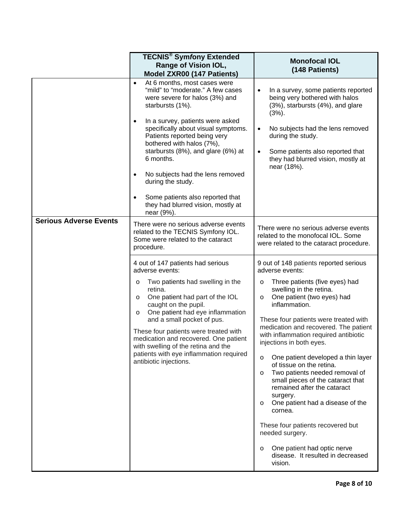|                               | <b>TECNIS® Symfony Extended</b><br>Range of Vision IOL,<br>Model ZXR00 (147 Patients)                                                                                                                                                                                                                                                                                                                                                                                                                                   | <b>Monofocal IOL</b><br>(148 Patients)                                                                                                                                                                                                                                                                                                                                                                                                                                                                                                                                                                                                                                                                                                                                   |  |
|-------------------------------|-------------------------------------------------------------------------------------------------------------------------------------------------------------------------------------------------------------------------------------------------------------------------------------------------------------------------------------------------------------------------------------------------------------------------------------------------------------------------------------------------------------------------|--------------------------------------------------------------------------------------------------------------------------------------------------------------------------------------------------------------------------------------------------------------------------------------------------------------------------------------------------------------------------------------------------------------------------------------------------------------------------------------------------------------------------------------------------------------------------------------------------------------------------------------------------------------------------------------------------------------------------------------------------------------------------|--|
|                               | At 6 months, most cases were<br>$\bullet$<br>"mild" to "moderate." A few cases<br>were severe for halos (3%) and<br>starbursts (1%).<br>In a survey, patients were asked<br>$\bullet$<br>specifically about visual symptoms.<br>Patients reported being very<br>bothered with halos (7%),<br>starbursts (8%), and glare (6%) at<br>6 months.<br>No subjects had the lens removed<br>$\bullet$<br>during the study.<br>Some patients also reported that<br>$\bullet$<br>they had blurred vision, mostly at<br>near (9%). | In a survey, some patients reported<br>$\bullet$<br>being very bothered with halos<br>(3%), starbursts (4%), and glare<br>$(3%)$ .<br>No subjects had the lens removed<br>$\bullet$<br>during the study.<br>Some patients also reported that<br>they had blurred vision, mostly at<br>near (18%).                                                                                                                                                                                                                                                                                                                                                                                                                                                                        |  |
| <b>Serious Adverse Events</b> | There were no serious adverse events<br>related to the TECNIS Symfony IOL.<br>Some were related to the cataract<br>procedure.                                                                                                                                                                                                                                                                                                                                                                                           | There were no serious adverse events<br>related to the monofocal IOL. Some<br>were related to the cataract procedure.                                                                                                                                                                                                                                                                                                                                                                                                                                                                                                                                                                                                                                                    |  |
|                               | 4 out of 147 patients had serious<br>adverse events:<br>Two patients had swelling in the<br>$\circ$<br>retina.<br>One patient had part of the IOL<br>$\circ$<br>caught on the pupil.<br>One patient had eye inflammation<br>$\circ$<br>and a small pocket of pus.<br>These four patients were treated with<br>medication and recovered. One patient<br>with swelling of the retina and the<br>patients with eye inflammation required<br>antibiotic injections.                                                         | 9 out of 148 patients reported serious<br>adverse events:<br>Three patients (five eyes) had<br>$\circ$<br>swelling in the retina.<br>One patient (two eyes) had<br>$\circ$<br>inflammation.<br>These four patients were treated with<br>medication and recovered. The patient<br>with inflammation required antibiotic<br>injections in both eyes.<br>One patient developed a thin layer<br>$\circ$<br>of tissue on the retina.<br>Two patients needed removal of<br>$\circ$<br>small pieces of the cataract that<br>remained after the cataract<br>surgery.<br>One patient had a disease of the<br>$\circ$<br>cornea.<br>These four patients recovered but<br>needed surgery.<br>One patient had optic nerve<br>$\circ$<br>disease. It resulted in decreased<br>vision. |  |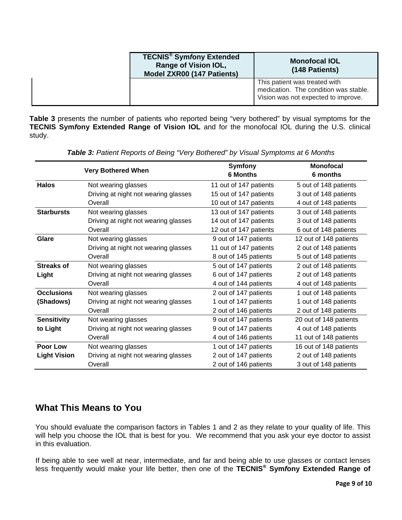| <b>TECNIS<sup>®</sup> Symfony Extended</b><br><b>Range of Vision IOL,</b><br>Model ZXR00 (147 Patients) | <b>Monofocal IOL</b><br>(148 Patients)                                                                        |  |
|---------------------------------------------------------------------------------------------------------|---------------------------------------------------------------------------------------------------------------|--|
|                                                                                                         | This patient was treated with<br>medication. The condition was stable.<br>Vision was not expected to improve. |  |

**Table 3** presents the number of patients who reported being "very bothered" by visual symptoms for the **TECNIS Sym***f***ony Extended Range of Vision IOL** and for the monofocal IOL during the U.S. clinical study.

|                     |                                      | <b>Symfony</b>         | <b>Monofocal</b>       |
|---------------------|--------------------------------------|------------------------|------------------------|
|                     | <b>Very Bothered When</b>            | <b>6 Months</b>        | 6 months               |
| <b>Halos</b>        | Not wearing glasses                  | 11 out of 147 patients | 5 out of 148 patients  |
|                     | Driving at night not wearing glasses | 15 out of 147 patients | 3 out of 148 patients  |
|                     | Overall                              | 10 out of 147 patients | 4 out of 148 patients  |
| <b>Starbursts</b>   | Not wearing glasses                  | 13 out of 147 patients | 3 out of 148 patients  |
|                     | Driving at night not wearing glasses | 14 out of 147 patients | 3 out of 148 patients  |
|                     | Overall                              | 12 out of 147 patients | 6 out of 148 patients  |
| Glare               | Not wearing glasses                  | 9 out of 147 patients  | 12 out of 148 patients |
|                     | Driving at night not wearing glasses | 11 out of 147 patients | 2 out of 148 patients  |
|                     | Overall                              | 8 out of 145 patients  | 5 out of 148 patients  |
| <b>Streaks of</b>   | Not wearing glasses                  | 5 out of 147 patients  | 2 out of 148 patients  |
| Light               | Driving at night not wearing glasses | 6 out of 147 patients  | 2 out of 148 patients  |
|                     | Overall                              | 4 out of 144 patients  | 4 out of 148 patients  |
| <b>Occlusions</b>   | Not wearing glasses                  | 2 out of 147 patients  | 1 out of 148 patients  |
| (Shadows)           | Driving at night not wearing glasses | 1 out of 147 patients  | 1 out of 148 patients  |
|                     | Overall                              | 2 out of 146 patients  | 2 out of 148 patients  |
| <b>Sensitivity</b>  | Not wearing glasses                  | 9 out of 147 patients  | 20 out of 148 patients |
| to Light            | Driving at night not wearing glasses | 9 out of 147 patients  | 4 out of 148 patients  |
|                     | Overall                              | 4 out of 146 patients  | 11 out of 148 patients |
| Poor Low            | Not wearing glasses                  | 1 out of 147 patients  | 16 out of 148 patients |
| <b>Light Vision</b> | Driving at night not wearing glasses | 2 out of 147 patients  | 2 out of 148 patients  |
|                     | Overall                              | 2 out of 146 patients  | 3 out of 148 patients  |

*Table 3: Patient Reports of Being "Very Bothered" by Visual Symptoms at 6 Months* 

# **What This Means to You**

You should evaluate the comparison factors in Tables 1 and 2 as they relate to your quality of life. This will help you choose the IOL that is best for you. We recommend that you ask your eye doctor to assist in this evaluation.

If being able to see well at near, intermediate, and far and being able to use glasses or contact lenses less frequently would make your life better, then one of the **TECNIS® Sym***f***ony Extended Range of**